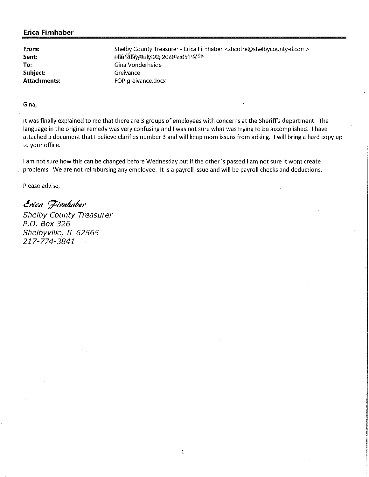**From: Sent: To: Subject: Attachments:** 

Shelby County Treasurer - Erica Firnhaber <shcotre@shelbycounty-il.com> irhursday; July 02, 2020 2:05PM <sup>4</sup> Gina Vonderheide Greivance FOP greivance.docx

**Gina,** 

It was finally explained to me that there are 3 groups of employees with concerns at the Sheriff's department. The language in the original remedy was very confusing and I was not sure what was trying to be accomplished. I have attached a document that I believe clarifies number 3 and will keep more issues from arising. I will bring a hard copy up to your office.

1

I am not sure how this can be changed before Wednesday but if the other is passed I am not sure it wont create problems. We are not reimbursing any employee. It is a payroll issue and will be payroll checks and deductions.

Please advise,

*c!>'IL:4 ';71>'nh4Pi?>'*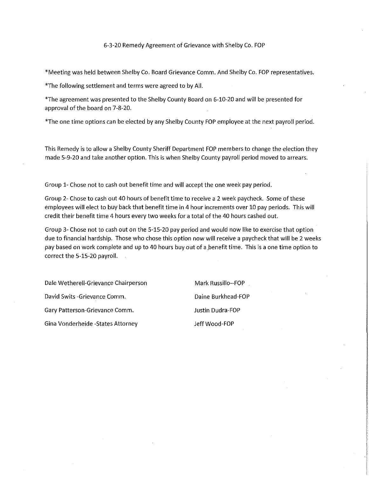#### 6-3-20 Remedy Agreement of Grievance with Shelby Co. FOP

\*Meeting was held between Shelby Co. Board Grievance Comm. And Shelby Co. FOP representatives.

\*The following settlement and terms were agreed to by All.

\*The agreement was presented to the Shelby County Board on 6-10-20 and will be presented for approval of the board on 7-8-20.

\*The one time options can be elected by any Shelby County FOP employee at the next payroll period.

This Remedy is to allow a Shelby County Sheriff Department FOP members to change the election they made 5-9-20 and take another option. This is when Shelby County payroll period moved to arrears.

Group 1- Chose not to cash out benefit time and will accept the one week pay period.

Group 2- Chose to cash out 40 hours of benefit time to receive a 2 week paycheck. Some of these employees will elect to buy back that benefit time in 4 hour increments *over* 10 pay periods. This will credit their benefit time 4 hours every two weeks for a total of the 40 hours cashed out.

Group 3- Chose not to cash out on the 5-15-20 pay period and would now like to exercise that option due to financial hardship. Those who chose this option now will receive a paycheck that will be 2 weeks pay based on work complete and up to 40 hours buy out of a benefit time. This is a one time option to correct the 5-15-20 payroll.

Dale Wetherell-Grievance Chairperson Mark Russillo--FOP David Swits -Grievance Comm. Daine Burkhead-FOP Gary Patterson-Grievance Comm. Justin Dudra-FOP Gina Vonderheide -States Attorney and Superson Jeff Wood-FOP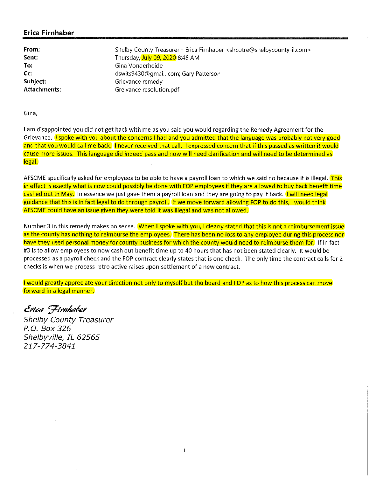| From:               | Shelby County Treasurer - Erica Firnhaber <shcotre@shelbycounty-il.com></shcotre@shelbycounty-il.com> |
|---------------------|-------------------------------------------------------------------------------------------------------|
| Sent:               | Thursday, July 09, 2020 8:45 AM                                                                       |
| To:                 | Gina Vonderheide                                                                                      |
| Cc:                 | dswits9430@qmail.com; Gary Patterson                                                                  |
| Subject:            | Grievance remedy                                                                                      |
| <b>Attachments:</b> | Greivance resolution.pdf                                                                              |

Gina,

I am disappointed you did not get back with me as you said you would regarding the Remedy Agreement for the Grievance. I spoke with you about the concerns I had and you admitted that the language was probably not very good and that you would call me back. I never received that call. I expressed concern that if this passed as written it would cause more issues. This language did indeed pass and now will need clarification and will need to be determined as legal.

AFSCME specifically asked for employees to be able to have a payroll loan to which we said no because it is illegal. This in effect is exactly what is now could possibly be done with FOP employees if they are allowed to buy back benefit time cashed out in May. In essence we just gave them a payroll loan and they are going to pay it back. I will need legal guidance that this is in fact legal to do through payroll. If we move forward allowing FOP to do this, I would think AFSCME could have an issue given they were told it was illegal and was not allowed.

Number 3 in this remedy makes no sense. When I spoke with you, I clearly stated that this is not a reimbursement issue as the county has nothing to reimburse the employees. There has been no loss to any employee during this process nor have they used personal money for county business for which the county would need to reimburse them for. If in fact #3 is to allow employees to now cash out benefit time up to 40 hours that has not been stated clearly. It would be processed as a payroll check and the FOP contract clearly states that is one check. The only time the contract calls for 2 checks is when we process retro active raises upon settlement of a new contract.

I would greatly appreciate your direction not only to myself but the board and FOP as to how this process can move forward in a legal manner.

Erica *Firnhaber*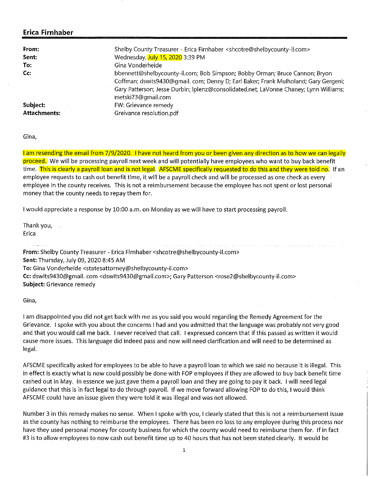| From:               | Shelby County Treasurer - Erica Firnhaber < shcotre@shelbycounty-il.com>                                                                                                                                                                                                          |
|---------------------|-----------------------------------------------------------------------------------------------------------------------------------------------------------------------------------------------------------------------------------------------------------------------------------|
| Sent:               | Wednesday, July 15, 2020 3:39 PM                                                                                                                                                                                                                                                  |
| To:                 | Gina Vonderheide                                                                                                                                                                                                                                                                  |
| Cc:                 | bbennett@shelbycounty-il.com; Bob Simpson; Bobby Orman; Bruce Cannon; Bryon<br>Coffman; dswits9430@gmail. com; Denny D; Earl Baker; Frank Mulholand; Gary Gergeni;<br>Gary Patterson; Jesse Durbin; Iplenz@consolidated.net; LaVonne Chaney; Lynn Williams;<br>metski73@gmail.com |
| Subject:            | FW: Grievance remedy                                                                                                                                                                                                                                                              |
| <b>Attachments:</b> | Greivance resolution.pdf                                                                                                                                                                                                                                                          |

**Gina,** 

I am resending the email from 7/9/2020. I have not heard from you or been given any direction as to how we can legally proceed. We will be processing payroll next week and will potentially have employees who want to buy back benefit time. This is clearly a payroll loan and is not legal. AFSCME specifically requested to do this and they were told no. If an employee requests to cash out benefit time, it will be a payroll check and will be processed as one check as every employee in the county receives. This is not a reimbursement because the employee has not spent or lost personal money that the county needs to repay them for.

I would appreciate a response by 10:00 a.m. on Monday as we will have to start processing payroll.

Thank you, Erica

**From:** Shelby County Treasurer - Erica Firnhaber <shcotre@shelbycounty-il.com> **Sent:** Thursday, July 09, 2020 8:45 AM **To:** Gina Vonderheide <statesattorney@shelbycounty-il.com> **Cc:** dswits9430@gmail.com <dswits9430@gmail.com>; Gary Patterson <rose2@shelbycounty-il.com> **Subject:** Grievance remedy

**Gina,** 

I am disappointed you did not get back with me as you said you would regarding the Remedy Agreement for the Grievance. I spoke with you about the concerns I had and you admitted that the language was probably not very good and that you would call me back. I never received that call. I expressed concern that if this passed as written it would cause more issues. This language did indeed pass and now **will** need clarification and will need to be determined as legal.

AFSCME specifically asked for employees to be able to have a payroll loan to which we said no because it is illegal. This in effect is exactly what is now could possibly be done with FOP employees if they are allowed to buy back benefit time cashed out in May. In essence we just gave them a payroll loan and they are going to pay it back. I will need legal guidance that this is in fact legal to do through payroll. If we move forward allowing FOP to do this, I would think AFSCME could have an issue given they were told **it** was illegal and was not allowed.

Number 3 in this remedy makes no sense. When I spoke with you, I clearly stated that this is not a reimbursement issue as the county has nothing to reimburse the employees. There has been no loss to any employee during this process nor have they used personal money for county business for which the county would need to reimburse them for. If in fact #3 is to allow employees to now cash out benefit time up to 40 hours that has not been stated clearly. It would be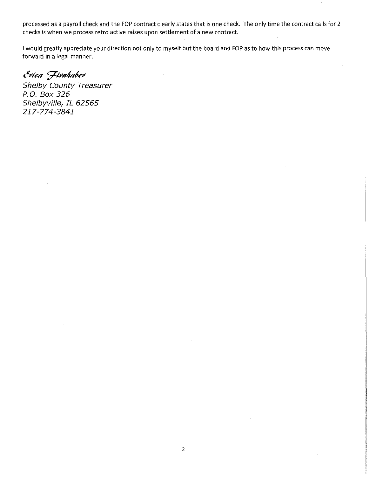processed as a payroll check and the FOP contract clearly states that is one check. The only time the contract calls for 2 checks is when we process retro active raises upon settlement of a new contract.

I would greatly appreciate your direction not only to myself but the board and FOP as to how this process can move forward in a legal manner.

Erica *Firnhaber*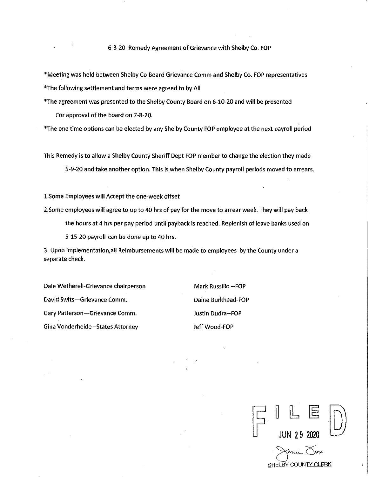- \*Meeting was held between Shelby Co Board Grievance Comm and Shelby Co. FOP representatives \*The following settlement and terms were agreed to by All
- \*The agreement was presented to the Shelby County Board on 6-10-20 and will be presented For approval of the board on 7-8-20.

\*The one time options can be elected by any Shelby County FOP employee at the next payroll period

This Remedy is to allow a Shelby County Sheriff Dept FOP member to change the election they made 5-9-20 and take another option. This is when Shelby County payroll periods moved to arrears.

1.Some Employees will Accept the one-week offset

2.Some employees will agree to up to 40 hrs of pay for the move to arrear week. They will pay back the hours at 4 hrs per pay period until payback is reached. Replenish of leave banks used on 5-15-20 payroll can be done up to 40 hrs.

3. Upon implementation,all Reimbursements wilt be made to employees by the County under a separate check.

Dale Wetherell-Grievance chairperson Mark Russillo -- FOP David Swits-Grievance Comm. Daine Burkhead-FOP Gary Patterson-Grievance Comm. Sand Tustin Dudra--FOP Gina Vonderheide -States Attorney and Muslim Jeff Wood-FOP

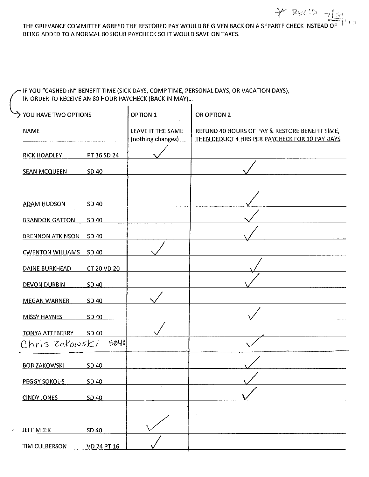### THE GRIEVANCE COMMITTEE AGREED THE RESTORED PAY WOULD BE GIVEN BACK ON A SEPARTE CHECK INSTEAD OF  $^{-1}$  ,  $^{+6}$ BEING ADDED TO A NORMAL 80 HOUR PAYCHECK SO IT WOULD SAVE ON TAXES.

 $\gamma$  kd  $\sim$   $\gamma$ 

## .<br>IF YOU "CASHED IN" BENEFIT TIME (SICK DAYS, COMP TIME, PERSONAL DAYS, OR VACATION DAYS), IN ORDER TO RECEIVE AN 80 HOUR PAYCHECK (BACK IN MAY)...

| YOU HAVE TWO OPTIONS    |             | <b>OPTION 1</b>                        | OR OPTION 2                                                                                      |
|-------------------------|-------------|----------------------------------------|--------------------------------------------------------------------------------------------------|
| <b>NAME</b>             |             | LEAVE IT THE SAME<br>(nothing changes) | REFUND 40 HOURS OF PAY & RESTORE BENEFIT TIME,<br>THEN DEDUCT 4 HRS PER PAYCHECK FOR 10 PAY DAYS |
| <b>RICK HOADLEY</b>     | PT 16 SD 24 |                                        |                                                                                                  |
| <b>SEAN MCQUEEN</b>     | SD 40       |                                        |                                                                                                  |
|                         |             |                                        |                                                                                                  |
| <b>ADAM HUDSON</b>      | SD 40       |                                        |                                                                                                  |
| <b>BRANDON GATTON</b>   | SD 40       |                                        |                                                                                                  |
| <b>BRENNON ATKINSON</b> | SD 40       |                                        |                                                                                                  |
| <b>CWENTON WILLIAMS</b> | SD 40       |                                        |                                                                                                  |
| DAINE BURKHEAD          | CT 20 VD 20 |                                        |                                                                                                  |
| <b>DEVON DURBIN</b>     | SD 40       |                                        |                                                                                                  |
| <b>MEGAN WARNER</b>     | SD 40       |                                        |                                                                                                  |
| <b>MISSY HAYNES</b>     | SD 40       |                                        |                                                                                                  |
| <b>TONYA ATTEBERRY</b>  | SD 40       |                                        |                                                                                                  |
| Chris Zakowski 5040     |             |                                        |                                                                                                  |
| <b>BOB ZAKOWSKI</b>     | SD 40       |                                        |                                                                                                  |
| <b>PEGGY SOKOLIS</b>    | SD 40       |                                        |                                                                                                  |
| <b>CINDY JONES</b>      | SD 40       |                                        |                                                                                                  |
|                         |             |                                        |                                                                                                  |
| <b>JEFF MEEK</b><br>ō   | SD 40       |                                        |                                                                                                  |
| <b>TIM CULBERSON</b>    | VD 24 PT 16 |                                        |                                                                                                  |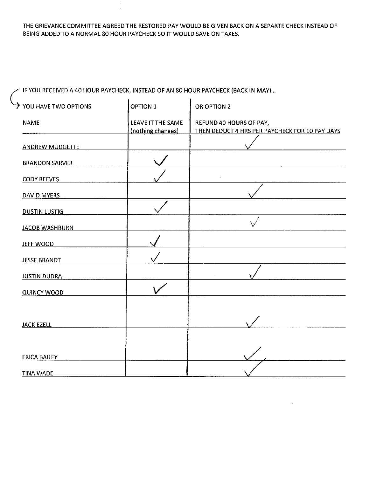THE GRIEVANCE COMMITIEE AGREED THE RESTORED PAY WOULD BE GIVEN BACK ON A SEPARTE CHECK INSTEAD OF BEING ADDED TO A NORMAL 80 HOUR PAYCHECK SO IT WOULD SAVE ON TAXES.

~ IF YOU RECEIVED A 40 HOUR PAYCHECK, INSTEAD OF AN 80 HOUR PAYCHECK (BACK IN MAY) ...

| $\rightarrow$ YOU HAVE TWO OPTIONS | <b>OPTION 1</b>                        | OR OPTION 2                                                               |
|------------------------------------|----------------------------------------|---------------------------------------------------------------------------|
| <b>NAME</b>                        | LEAVE IT THE SAME<br>(nothing changes) | REFUND 40 HOURS OF PAY,<br>THEN DEDUCT 4 HRS PER PAYCHECK FOR 10 PAY DAYS |
| <b>ANDREW MUDGETTE</b>             |                                        |                                                                           |
| <b>BRANDON SARVER</b>              |                                        |                                                                           |
| <b>CODY REEVES</b>                 |                                        |                                                                           |
| <b>DAVID MYERS</b>                 |                                        |                                                                           |
| <b>DUSTIN LUSTIG</b>               |                                        |                                                                           |
| <b>JACOB WASHBURN</b>              |                                        |                                                                           |
| <b>JEFF WOOD</b>                   |                                        |                                                                           |
| <b>JESSE BRANDT</b>                |                                        |                                                                           |
| <b>JUSTIN DUDRA</b>                |                                        |                                                                           |
| <b>QUINCY WOOD</b>                 |                                        |                                                                           |
|                                    |                                        |                                                                           |
| <b>JACK EZELL</b>                  |                                        |                                                                           |
|                                    |                                        |                                                                           |
| <b>ERICA BAILEY</b>                |                                        |                                                                           |
| <b>TINA WADE</b>                   |                                        |                                                                           |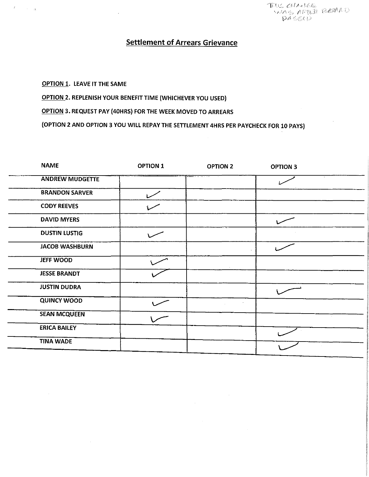$TIRL$  ( $SIAA$ ) $CE$ \ .f //\ / (<:, .. *·t,r .. :{;* 

### **Settlement of Arrears Grievance**

OPTION 1. LEAVE IT THE SAME

 $\sim$   $\sim$   $_{\rm H}$ 

 $\mathcal{L}^{\pm}$ 

OPTION 2. REPLENISH YOUR BENEFIT TIME (WHICHEVER YOU USED)

OPTION 3. REQUEST PAY {40HRS) FOR THE WEEK MOVED TO ARREARS

(OPTION 2 AND OPTION 3 YOU WILL REPAY THE SETTLEMENT 4HRS PER PAYCHECK FOR 10 PAYS)

| <b>NAME</b>            | <b>OPTION 1</b> | <b>OPTION 2</b> | <b>OPTION 3</b> |
|------------------------|-----------------|-----------------|-----------------|
| <b>ANDREW MUDGETTE</b> |                 |                 |                 |
| <b>BRANDON SARVER</b>  |                 |                 |                 |
| <b>CODY REEVES</b>     |                 |                 |                 |
| <b>DAVID MYERS</b>     |                 |                 |                 |
| <b>DUSTIN LUSTIG</b>   |                 |                 |                 |
| <b>JACOB WASHBURN</b>  |                 |                 |                 |
| <b>JEFF WOOD</b>       |                 |                 |                 |
| <b>JESSE BRANDT</b>    |                 |                 |                 |
| <b>JUSTIN DUDRA</b>    |                 |                 |                 |
| <b>QUINCY WOOD</b>     |                 |                 |                 |
| <b>SEAN MCQUEEN</b>    |                 |                 | $\sim$          |
| <b>ERICA BAILEY</b>    |                 |                 |                 |
| <b>TINA WADE</b>       |                 |                 |                 |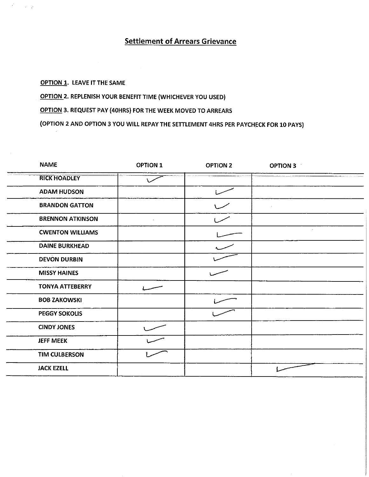# **Settlement of Arrears Grievance**

### OPTION 1. LEAVE IT THE SAME

 $\mathcal{G}^{(0)}$ 

 $\beta\ll \beta_{\rm B}$ 

OPTION 2. REPLENISH YOUR BENEFIT TIME (WHICHEVER YOU USED)

OPTION 3. REQUEST PAY (40HRS) FOR THE WEEK MOVED TO ARREARS

(OPTION 2 AND OPTION 3 YOU WILL REPAY THE SETTLEMENT 4HRS PER PAYCHECK FOR 10 PAYS)

| <b>RICK HOADLEY</b><br><b>ADAM HUDSON</b><br><b>BRANDON GATTON</b><br><b>BRENNON ATKINSON</b><br><b>CWENTON WILLIAMS</b><br><b>DAINE BURKHEAD</b><br><b>DEVON DURBIN</b><br><b>MISSY HAINES</b><br><b>TONYA ATTEBERRY</b> | <b>NAME</b>         | <b>OPTION 1</b> | <b>OPTION 2</b> | <b>OPTION 3</b> |
|---------------------------------------------------------------------------------------------------------------------------------------------------------------------------------------------------------------------------|---------------------|-----------------|-----------------|-----------------|
|                                                                                                                                                                                                                           |                     |                 |                 |                 |
|                                                                                                                                                                                                                           |                     |                 |                 |                 |
|                                                                                                                                                                                                                           |                     |                 |                 |                 |
|                                                                                                                                                                                                                           |                     |                 |                 |                 |
|                                                                                                                                                                                                                           |                     |                 |                 |                 |
|                                                                                                                                                                                                                           |                     |                 |                 |                 |
|                                                                                                                                                                                                                           |                     |                 |                 |                 |
|                                                                                                                                                                                                                           |                     |                 |                 |                 |
|                                                                                                                                                                                                                           |                     |                 |                 |                 |
|                                                                                                                                                                                                                           | <b>BOB ZAKOWSKI</b> |                 |                 |                 |
| <b>PEGGY SOKOLIS</b>                                                                                                                                                                                                      |                     |                 |                 |                 |
| <b>CINDY JONES</b>                                                                                                                                                                                                        |                     |                 |                 |                 |
| <b>JEFF MEEK</b>                                                                                                                                                                                                          |                     |                 |                 |                 |
| <b>TIM CULBERSON</b>                                                                                                                                                                                                      |                     |                 |                 |                 |
| <b>JACK EZELL</b>                                                                                                                                                                                                         |                     |                 |                 |                 |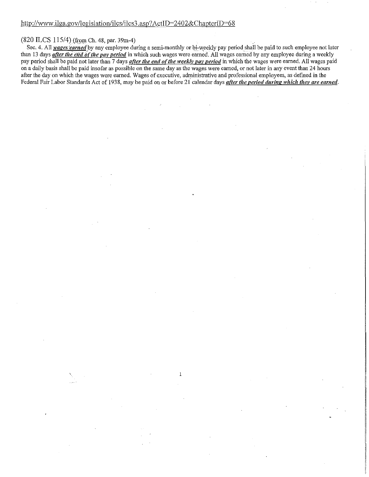#### $(820$  ILCS  $115/4$ ) (from Ch. 48, par. 39m-4)

Sec. 4. All *wages 'earned* by any employee during a semi-monthly or bi-weekly pay period shall be paid to such employee not later than 13 days *after the end o(the pay period* in which such wages were earned. All wages earned by any employee during a weekly pay period shall be paid not later than 7 days *after the end of the weekly pay period* in which the wages were earned. All wages paid on a daily basis shall be paid insofar as possible on the same day as the wages were earned, or not later in any event than 24 hours after the day on which the wages were earned. Wages of executive, administrative and professional employees, as defmed in the Federal Fair Labor Standards Act of 1938, may be paid on or before 21 calendar days *after the period during which they are earned*.

1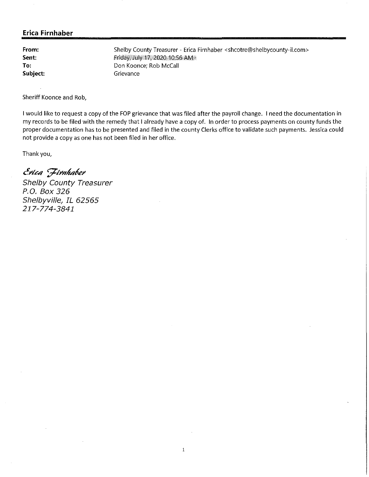**From: Sent: To: Subject:**  Friday;•July 17, 2020 10;56AM" Don Koonce; Rob McCall Grievance

Shelby County Treasurer - Erica Firnhaber <shcotre@shelbycounty-il.com>

Sheriff Koonce and Rob,

I would like to request a copy of the FOP grievance that was filed after the payroll change. I need the documentation in my records to be filed with the remedy that I already have a copy of. In order to process payments on county funds the proper documentation has to be presented and filed in the county Clerks office to validate such payments. Jessica could not provide a copy as one has not been filed in her office.

Thank you,

 $\mathcal E$ rica *Firnhaber*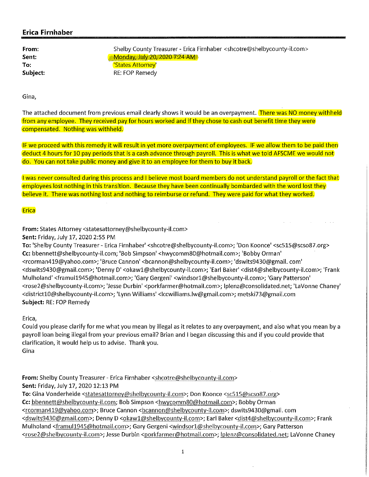**From: Sent: To: Subject:**  Shelby County Treasurer - Erica Firnhaber <shcotre@shelbycounty-il.com> +•Mgnqay;J\JIY 20;.20207:24AM~ 'States Attorney' RE: FOP Remedy

**Gina,** 

The attached document from previous email clearly shows it would be an overpayment. There was NO money withheld from any employee. They received pay for hours worked and if they chose to cash out benefit time they were compensated. Nothing was withheld.

IF we proceed with this remedy it will result in yet more overpayment of employees. IF we allow them to be paid then deduct 4 hours for 10 pay periods that is a cash advance through payroll. This is what we told AFSCME we would not do. You can not take public money and give it to an employee for them to buy it back.

I was never consulted during this process and I believe most board members do not understand payroll or the fact that employees lost nothing in this transition. Because they have been continually bombarded with the word lost they believe it. There was nothing lost and nothing to reimburse or refund. They were paid for what they worked.

**Erica** 

**From:** States Attorney <statesattorney@shelbycounty-il.com>

**Sent:** Friday, July 17, 2020 2:55 PM

**To:** 'Shelby County Treasurer - Erica Firnhaber' <shcotre@shelbycounty-il.com>; 'Don Koonce' <sc515@scso87.org> Cc: bbennett@shelbycounty-il.com; 'Bob Simpson' <hwycomm80@hotmail.com>; 'Bobby Orman' <rcorman419@yahoo.com>; 'Bruce Cannon' <bcannon@shelbycounty-il.com>; 'dswits9430@gmail. com' <dswits9430@gmail.com>; 'Denny D' <okaw1@shelbycounty-il.com>; 'Earl Baker' <dist4@shelbycounty-il.com>; 'Frank Mulholand' <framul1945@hotmail.com>; 'Gary Gergeni' <windsor1@shelbycounty-il.com>; 'Gary Patterson' <rose2@shelbycounty-il.com>; 'Jesse Durbin' <porkfarmer@hotmail.com>; lplenz@consolidated.net; 'Lavonne Chaney' <district10@shelbycounty-il.com>; 'Lynn Williams' <lccwilliams.lw@gmail.com>; metski73@gmail.com **Subject:** RE: FOP Remedy

**Erica,** 

Could you please clarify for me what you mean by illegal as it relates to any overpayment, and also what you mean by a payroll loan being illegal from your previous email? Brian and I began discussing this and if you could provide that clarification, it would help us to advise. Thank you. Gina

From: Shelby County Treasurer - Erica Firnhaber <shcotre@shelbycounty-il.com> **Sent:** Friday, July 17, 2020 12:13 PM

**To:** Gina Vonderheide <statesattorney@shelbycounty-il.com>; Don Koonce <sc515@scso87.org> Cc: bbennett@shelbycounty-il.com; Bob Simpson <hwycomm80@hotmail.com>; Bobby Orman <rcorman419@yahoo.com>; Bruce Cannon <bcannon@shelbycounty-il.com>; dswits9430@gmail.com <dswits9430@gmail.com>; Denny D <okawl@shelbycounty-il.com>; Earl Baker <dist4@shelbycounty-il.com>; Frank Mulholand <framul1945@hotmail.com>; Gary Gergeni <windsorl@shelbycounty-il.com>; Gary Patterson <rose2@shelbycounty-il.com>; Jesse Durbin <porkfarmer@hotmail.com>; lplenz@consolidated.net; Lavonne Chaney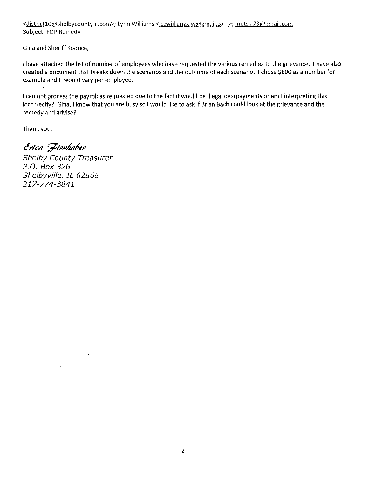<districtlO@shelbycounty-il.com>; Lynn Williams <lccwilliams.lw@gmail.com>; metski73@gmail.com **Subject:** FOP Remedy

Gina and Sheriff Koonce,

I have attached the list of number of employees who have requested the various remedies to the grievance. I have also created a document that breaks down the scenarios and the outcome of each scenario. I chose \$800 as a number for example and it would vary per employee.

I can not process the payroll as requested due to the fact it would be illegal overpayments or am I interpreting this incorrectly? Gina, I know that you are busy so I would like to ask if Brian Bach could look at the grievance and the remedy and advise?

Thank you,

*c!11/,c,q <;711111J,q/,e11* 

Shelby County Treasurer P.O. Box 326 Shelbyville, IL 62565 217-774-3841

 $\sim$   $\sim$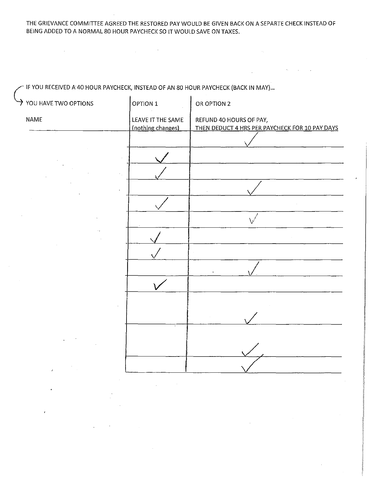THE GRIEVANCE COMMITIEE AGREED THE RESTORED PAY WOULD BE GIVEN BACK ON A SEPARTE CHECK INSTEAD OF BEING ADDED TO A NORMAL 80 HOUR PAYCHECK SO IT WOULD SAVE ON TAXES.

 $\sim 60$  ,  $\sim 10^{-1}$  ,  $\sim 1$ 

| $\rightarrow$ YOU HAVE TWO OPTIONS | <b>OPTION 1</b>                        | OR OPTION 2                                                               |
|------------------------------------|----------------------------------------|---------------------------------------------------------------------------|
| NAME                               | LEAVE IT THE SAME<br>(nothing changes) | REFUND 40 HOURS OF PAY,<br>THEN DEDUCT 4 HRS PER PAYCHECK FOR 10 PAY DAYS |
|                                    |                                        |                                                                           |
|                                    |                                        |                                                                           |
|                                    |                                        |                                                                           |
|                                    |                                        |                                                                           |
|                                    |                                        |                                                                           |
|                                    |                                        |                                                                           |
|                                    |                                        |                                                                           |
|                                    |                                        |                                                                           |
|                                    |                                        |                                                                           |
|                                    |                                        |                                                                           |
|                                    |                                        |                                                                           |
|                                    |                                        |                                                                           |
|                                    |                                        |                                                                           |
|                                    |                                        |                                                                           |
|                                    |                                        |                                                                           |

 $\sim$  IF YOU RECEIVED A 40 HOUR PAYCHECK, INSTEAD OF AN 80 HOUR PAYCHECK (BACK IN MAY).

 $\label{eq:2.1} \frac{1}{\sqrt{2}}\int_{\mathbb{R}^3}\frac{1}{\sqrt{2}}\left(\frac{1}{\sqrt{2}}\right)^2\left(\frac{1}{\sqrt{2}}\right)^2\left(\frac{1}{\sqrt{2}}\right)^2\left(\frac{1}{\sqrt{2}}\right)^2\left(\frac{1}{\sqrt{2}}\right)^2\left(\frac{1}{\sqrt{2}}\right)^2.$ 

 $\sim 10^{11}$  km  $^{-1}$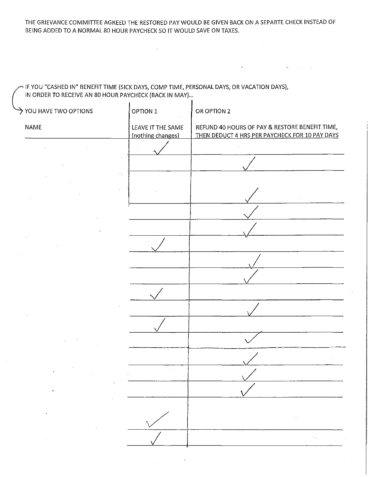THE GRIEVANCE COMMITIEE AGREED THE RESTORED PAY WOULD BE GIVEN BACK ON A SEPARTE CHECK INSTEAD OF BEING ADDED TO A NORMAL 80 HOUR PAYCHECK SO IT WOULD SAVE ON TAXES.

 $\mathbf{r}$ 

N IF YOU "CASHED IN" BENEFIT TIME (SICK DAYS, COMP TIME, PERSONAL DAYS, OR VACATION DAYS), l, in ORDER TO RECEIVE AN 80 HOUR PAYCHECK (BACK IN MAY) ...

 $\sim$ 

| $\rightarrow$ YOU HAVE TWO OPTIONS | OPTION 1                               | OR OPTION 2                                                                                      |
|------------------------------------|----------------------------------------|--------------------------------------------------------------------------------------------------|
| <b>NAME</b>                        | LEAVE IT THE SAME<br>(nothing changes) | REFUND 40 HOURS OF PAY & RESTORE BENEFIT TIME,<br>THEN DEDUCT 4 HRS PER PAYCHECK FOR 10 PAY DAYS |
|                                    |                                        |                                                                                                  |
|                                    |                                        |                                                                                                  |
| ٠.                                 |                                        |                                                                                                  |
|                                    |                                        |                                                                                                  |
|                                    |                                        |                                                                                                  |
|                                    |                                        |                                                                                                  |
|                                    |                                        |                                                                                                  |
|                                    |                                        |                                                                                                  |
|                                    |                                        |                                                                                                  |
|                                    |                                        |                                                                                                  |
|                                    |                                        |                                                                                                  |
|                                    |                                        |                                                                                                  |
|                                    |                                        |                                                                                                  |
|                                    |                                        |                                                                                                  |
|                                    |                                        |                                                                                                  |
|                                    |                                        |                                                                                                  |
| $\pmb{\cdot}$                      |                                        |                                                                                                  |
|                                    |                                        | У.,                                                                                              |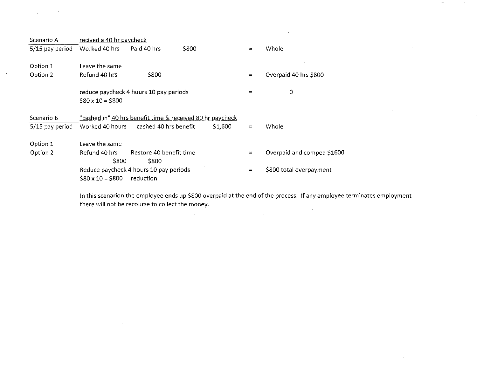| Scenario A        | recived a 40 hr paycheck |                                                           |       |         |          |                            |
|-------------------|--------------------------|-----------------------------------------------------------|-------|---------|----------|----------------------------|
| 5/15 pay period   | Worked 40 hrs            | Paid 40 hrs                                               | \$800 |         | $=$      | Whole                      |
| Option 1          | Leave the same           |                                                           |       |         |          |                            |
| Option 2          | Refund 40 hrs            | \$800                                                     |       |         | $\equiv$ | Overpaid 40 hrs \$800      |
|                   | $$80 \times 10 = $800$   | reduce paycheck 4 hours 10 pay periods                    |       |         | $=$      | 0                          |
| Scenario B        |                          | "cashed in" 40 hrs benefit time & received 80 hr paycheck |       |         |          |                            |
| $5/15$ pay period | Worked 40 hours          | cashed 40 hrs benefit                                     |       | \$1,600 | $\equiv$ | Whole                      |
| Option 1          | Leave the same           |                                                           |       |         |          |                            |
| Option 2          | Refund 40 hrs<br>\$800   | Restore 40 benefit time<br>\$800                          |       |         | $=$      | Overpaid and comped \$1600 |
|                   | $$80 \times 10 = $800$   | Reduce paycheck 4 hours 10 pay periods<br>reduction       |       |         | $\equiv$ | \$800 total overpayment    |

 $\sim 10^6$ 

 $\sim$ 

 $\sim$ 

In this scenarion the employee ends up \$800 overpaid at the end of the process. If any employee terminates employment there will not be recourse to collect the money.  $\sim$ 

 $\mathcal{L}_{\rm{max}}$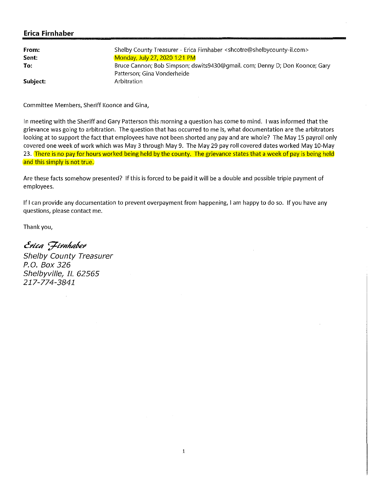| From:    | Shelby County Treasurer - Erica Firnhaber <shcotre@shelbycounty-il.com></shcotre@shelbycounty-il.com> |
|----------|-------------------------------------------------------------------------------------------------------|
| Sent:    | Monday, July 27, 2020 1:21 PM                                                                         |
| To:      | Bruce Cannon; Bob Simpson; dswits9430@gmail.com; Denny D; Don Koonce; Gary                            |
|          | Patterson; Gina Vonderheide                                                                           |
| Subject: | Arbitration                                                                                           |

Committee Members, Sheriff Koonce and Gina,

In meeting with the Sheriff and Gary Patterson this morning a question has come to mind. I was informed that the grievance was going to arbitration. The question that has occurred to me is, what documentation are the arbitrators looking at to support the fact that employees have not been shorted any pay and are whole? The May 15 payroll only covered one week of work which was May 3 through May 9. The May 29 pay roll covered dates worked May 10-May 23. There is no pay for hours worked being held by the county. The grievance states that a week of pay is being held and this simply is not true.

Are these facts somehow presented? If this is forced to be paid it will be a double and possible triple payment of employees.

If I can provide any documentation to prevent overpayment from happening, I am happy to do so. If you have any questions, please contact me.

Thank you,

*c!J'iC4 'fil'Hh,etfel'*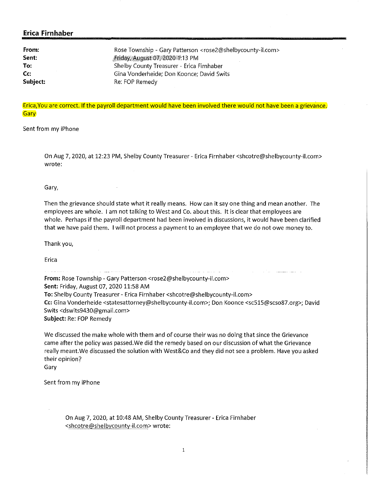| From:    | Rose Township - Gary Patterson <rose2@shelbycounty-il.com></rose2@shelbycounty-il.com> |
|----------|----------------------------------------------------------------------------------------|
| Sent:    | Friday, August 07, 2020 1:13 PM                                                        |
| To:      | Shelby County Treasurer - Erica Firnhaber                                              |
| Cc:      | Gina Vonderheide; Don Koonce; David Swits                                              |
| Subject: | Re: FOP Remedy                                                                         |

Erica, You are correct. If the payroll department would have been involved there would not have been a grievance. **Gary** 

Sent from my iPhone

On Aug 7, 2020, at 12:23 PM, Shelby County Treasurer - Erica Firnhaber <shcotre@shelbycounty-il.com> wrote:

Gary,

Then the grievance should state what it really means. How can it say one thing and mean another. The employees are whole. I am not talking to West and Co. about this. It is clear that employees are whole. Perhaps if the payroll department had been involved in discussions, it would have been clarified that we have paid them. I will not process a payment to an employee that we do not owe money to.

Thank you,

Erica

 $\hat{u}^{\dagger}$  ,  $\hat{u}^{\dagger}$  ,  $\hat{u}^{\dagger}$  , and an anomalous contracts of  $\hat{u}^{\dagger}$ **From:** Rose Township - Gary Patterson <rose2@shelbycounty-il.com> **Sent:** Friday, August 07, 2020 11:58 AM **To:** Shelby County Treasurer - Erica Firnhaber <shcotre@shelbycounty-il.com> Cc: Gina Vonderheide <statesattorney@shelbycounty-il.com>; Don Koonce <sc515@scso87.org>; David Swits <dswits9430@gmail.com> **Subject:** Re: FOP Remedy

We discussed the make whole with them and of course their was no doing that since the Grievance came after the policy was passed.We did the remedy based on our discussion of what the Grievance really meant.We discussed the solution with West&Co and they did not see a problem. Have you asked their opinion?

Gary

Sent from my iPhone

On Aug 7, 2020, at 10:48 AM, Shelby County Treasurer - Erica Firnhaber <shcotre@shelbycounty-il.com> wrote: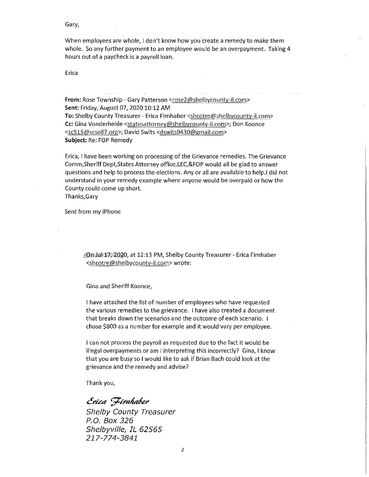Gary,

When employees are whole, I don't know how you create a remedy to make them whole. So any further payment to an employee would be an overpayment. Taking 4 hours out of a paycheck is a payroll loan.

Erica

From: Rose Township - Gary Patterson <rose2@shelbycounty-il.com> **Sent:** Friday, August 07, 2020 10:12 AM **To:** Shelby County Treasurer - Erica Firnhaber <shcotre@shelbycounty-il.com> **Cc:** Gina Vonderheide <statesattorney@shelbycounty-il.com>; Don Koonce <sc515@scso87.org>; David Swits <dswits9430@gmail.com> **Subject:** Re: FOP Remedy

Erica, I have been working on processing of the Grievance remedies. The Grievance Comm,Sheriff Dept,States Attorney office,LEC,&FOP would all be glad to answer questions and help to process the elections. Any or all are available to help.I did not understand in your remedy example where anyone would be overpaid or how the County could come up short.

Thanks,Gary

Sent from my iPhone

faOn **Jul** 17; 2020, at 12:13 PM, Shelby County Treasurer - Erica Firnhaber <shcotre@shelbycounty-il.com> wrote:

Gina and Sheriff Koonce,

I have attached the list of number of employees who have requested the various remedies to the grievance. I have also created a document that breaks down the scenarios and the outcome of each scenario. I chose \$800 as a number for example and it would vary per employee.

I can not process the payroll as requested due to the fact it would be illegal overpayments or am I interpreting this incorrectly? Gina, I know that you are busy so I would like to ask if Brian Bach could look at the grievance and the remedy and advise?

Thank you,

*c!rlc4 ';71rnh4P€J'*